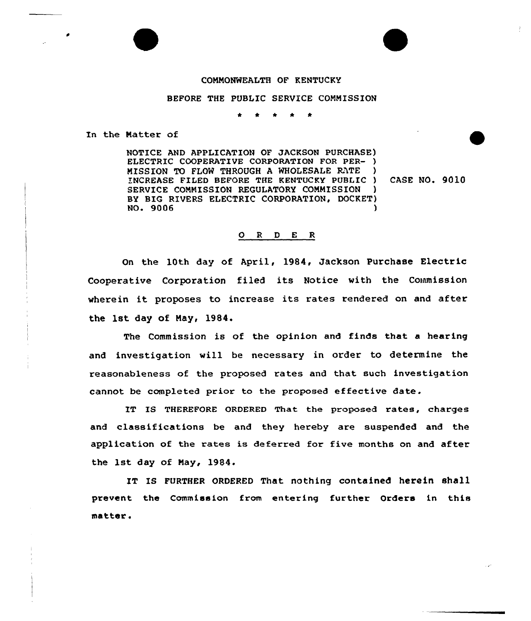## COMMONWEALTH OF KENTUCKY

## BEFORE THE PUBLIC SERVICE COMM1SSION

\* 0 \*

In the Natter of

NOTICE AND APPLICATION OF JACKSON PURCHASE) ELECTRIC COOPERATIVE CORPORATION FOR PER- ) MISSION TO FLOW THROUGH A WHOLESALE RATE INCREASE FILED BEFORE THE KENTUCKY PUBLIC ) SERVICE COMMISSION REGULATORY COMMISSION BY BIG RIVERS ELECTRIC CORPORATION, DOCKET) NO. 9006 )

CASE NO. 9010

## 0 <sup>R</sup> <sup>D</sup> E <sup>R</sup>

On the 10th day of April, 1984, Jackson Purchase Electric Cooperative Corporation filed its Notice with the Commission wherein it proposes to increase its rates rendered on and after the 1st day of Nay, 1984.

The Commission is of the opinion and finds that a hearing and investigation will be necessary in order to determine the reasonableness of the proposed rates and that such investigation cannot be completed prior to the proposed effective date.

IT IS THEREFORE ORDERED That the proposed rates, charges and classifications be and they hereby are suspended and the application of the rates is deterred for five months on and after the 1st day of Nay, 1984.

IT IS FURTHER ORDERED That nothing contained herein shall prevent the Commission from entering further Orders in this matter.